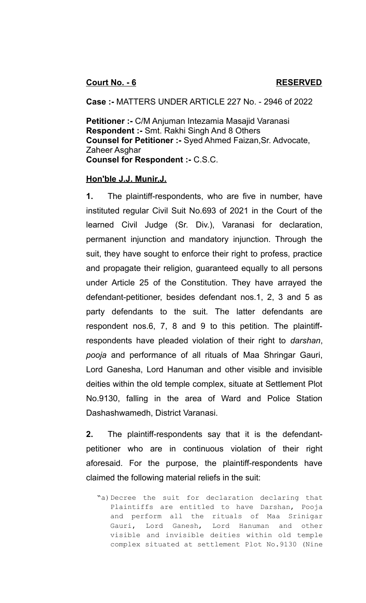**Case :-** MATTERS UNDER ARTICLE 227 No. - 2946 of 2022

**Petitioner :-** C/M Anjuman Intezamia Masajid Varanasi **Respondent :-** Smt. Rakhi Singh And 8 Others **Counsel for Petitioner :-** Syed Ahmed Faizan,Sr. Advocate, Zaheer Asghar **Counsel for Respondent :-** C.S.C.

## **Hon'ble J.J. Munir,J.**

**1.** The plaintiff-respondents, who are five in number, have instituted regular Civil Suit No.693 of 2021 in the Court of the learned Civil Judge (Sr. Div.), Varanasi for declaration, permanent injunction and mandatory injunction. Through the suit, they have sought to enforce their right to profess, practice and propagate their religion, guaranteed equally to all persons under Article 25 of the Constitution. They have arrayed the defendant-petitioner, besides defendant nos.1, 2, 3 and 5 as party defendants to the suit. The latter defendants are respondent nos.6, 7, 8 and 9 to this petition. The plaintiffrespondents have pleaded violation of their right to *darshan*, *pooja* and performance of all rituals of Maa Shringar Gauri, Lord Ganesha, Lord Hanuman and other visible and invisible deities within the old temple complex, situate at Settlement Plot No.9130, falling in the area of Ward and Police Station Dashashwamedh, District Varanasi.

**2.** The plaintiff-respondents say that it is the defendantpetitioner who are in continuous violation of their right aforesaid. For the purpose, the plaintiff-respondents have claimed the following material reliefs in the suit:

"a)Decree the suit for declaration declaring that Plaintiffs are entitled to have Darshan, Pooja and perform all the rituals of Maa Srinigar Gauri, Lord Ganesh, Lord Hanuman and other visible and invisible deities within old temple complex situated at settlement Plot No.9130 (Nine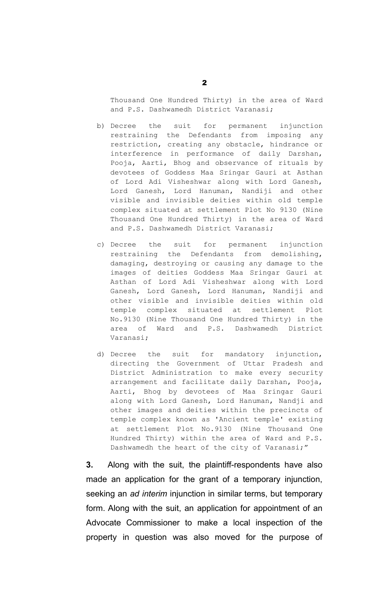Thousand One Hundred Thirty) in the area of Ward and P.S. Dashwamedh District Varanasi;

- b) Decree the suit for permanent injunction restraining the Defendants from imposing any restriction, creating any obstacle, hindrance or interference in performance of daily Darshan, Pooja, Aarti, Bhog and observance of rituals by devotees of Goddess Maa Sringar Gauri at Asthan of Lord Adi Visheshwar along with Lord Ganesh, Lord Ganesh, Lord Hanuman, Nandiji and other visible and invisible deities within old temple complex situated at settlement Plot No 9130 (Nine Thousand One Hundred Thirty) in the area of Ward and P.S. Dashwamedh District Varanasi;
- c) Decree the suit for permanent injunction restraining the Defendants from demolishing, damaging, destroying or causing any damage to the images of deities Goddess Maa Sringar Gauri at Asthan of Lord Adi Visheshwar along with Lord Ganesh, Lord Ganesh, Lord Hanuman, Nandiji and other visible and invisible deities within old temple complex situated at settlement Plot No.9130 (Nine Thousand One Hundred Thirty) in the area of Ward and P.S. Dashwamedh District Varanasi;
- d) Decree the suit for mandatory injunction, directing the Government of Uttar Pradesh and District Administration to make every security arrangement and facilitate daily Darshan, Pooja, Aarti, Bhog by devotees of Maa Sringar Gauri along with Lord Ganesh, Lord Hanuman, Nandji and other images and deities within the precincts of temple complex known as 'Ancient temple' existing at settlement Plot No.9130 (Nine Thousand One Hundred Thirty) within the area of Ward and P.S. Dashwamedh the heart of the city of Varanasi;"

**3.** Along with the suit, the plaintiff-respondents have also made an application for the grant of a temporary injunction, seeking an *ad interim* injunction in similar terms, but temporary form. Along with the suit, an application for appointment of an Advocate Commissioner to make a local inspection of the property in question was also moved for the purpose of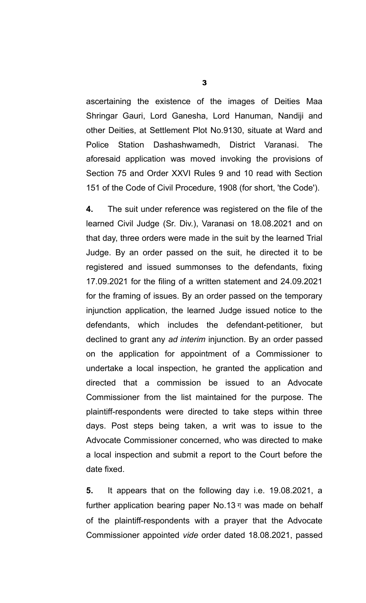ascertaining the existence of the images of Deities Maa Shringar Gauri, Lord Ganesha, Lord Hanuman, Nandiji and other Deities, at Settlement Plot No.9130, situate at Ward and Police Station Dashashwamedh, District Varanasi. The aforesaid application was moved invoking the provisions of Section 75 and Order XXVI Rules 9 and 10 read with Section 151 of the Code of Civil Procedure, 1908 (for short, 'the Code').

**4.** The suit under reference was registered on the file of the learned Civil Judge (Sr. Div.), Varanasi on 18.08.2021 and on that day, three orders were made in the suit by the learned Trial Judge. By an order passed on the suit, he directed it to be registered and issued summonses to the defendants, fixing 17.09.2021 for the filing of a written statement and 24.09.2021 for the framing of issues. By an order passed on the temporary injunction application, the learned Judge issued notice to the defendants, which includes the defendant-petitioner, but declined to grant any *ad interim* injunction. By an order passed on the application for appointment of a Commissioner to undertake a local inspection, he granted the application and directed that a commission be issued to an Advocate Commissioner from the list maintained for the purpose. The plaintiff-respondents were directed to take steps within three days. Post steps being taken, a writ was to issue to the Advocate Commissioner concerned, who was directed to make a local inspection and submit a report to the Court before the date fixed.

**5.** It appears that on the following day i.e. 19.08.2021, a further application bearing paper No.13 $\pi$  was made on behalf of the plaintiff-respondents with a prayer that the Advocate Commissioner appointed *vide* order dated 18.08.2021, passed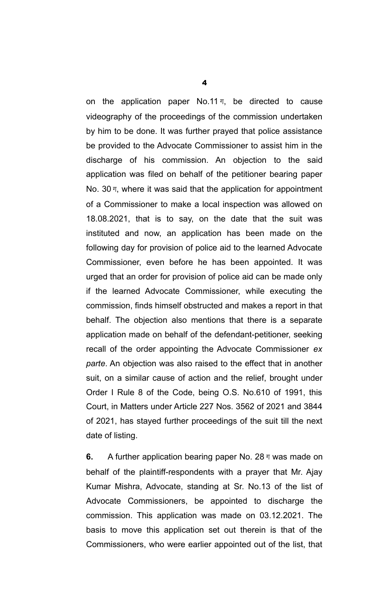on the application paper No.11 $\pi$ , be directed to cause videography of the proceedings of the commission undertaken by him to be done. It was further prayed that police assistance be provided to the Advocate Commissioner to assist him in the discharge of his commission. An objection to the said application was filed on behalf of the petitioner bearing paper No. 30 $\pi$ , where it was said that the application for appointment of a Commissioner to make a local inspection was allowed on 18.08.2021, that is to say, on the date that the suit was instituted and now, an application has been made on the following day for provision of police aid to the learned Advocate Commissioner, even before he has been appointed. It was urged that an order for provision of police aid can be made only if the learned Advocate Commissioner, while executing the commission, finds himself obstructed and makes a report in that behalf. The objection also mentions that there is a separate application made on behalf of the defendant-petitioner, seeking recall of the order appointing the Advocate Commissioner *ex parte*. An objection was also raised to the effect that in another suit, on a similar cause of action and the relief, brought under Order I Rule 8 of the Code, being O.S. No.610 of 1991, this Court, in Matters under Article 227 Nos. 3562 of 2021 and 3844 of 2021, has stayed further proceedings of the suit till the next date of listing.

**6.** A further application bearing paper No. 28 ग was made on behalf of the plaintiff-respondents with a prayer that Mr. Ajay Kumar Mishra, Advocate, standing at Sr. No.13 of the list of Advocate Commissioners, be appointed to discharge the commission. This application was made on 03.12.2021. The basis to move this application set out therein is that of the Commissioners, who were earlier appointed out of the list, that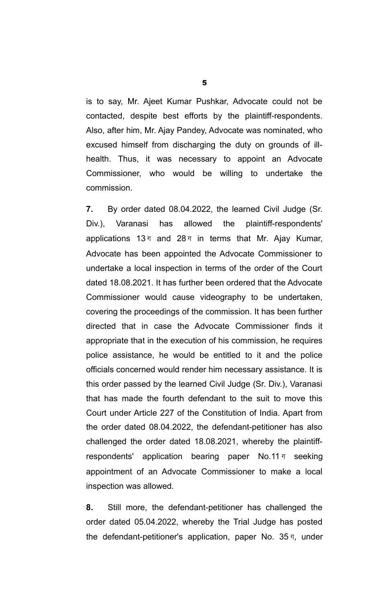is to say, Mr. Ajeet Kumar Pushkar, Advocate could not be contacted, despite best efforts by the plaintiff-respondents. Also, after him, Mr. Ajay Pandey, Advocate was nominated, who excused himself from discharging the duty on grounds of illhealth. Thus, it was necessary to appoint an Advocate Commissioner, who would be willing to undertake the commission.

**7.** By order dated 08.04.2022, the learned Civil Judge (Sr. Div.), Varanasi has allowed the plaintiff-respondents' applications 13 $\pi$  and 28 $\pi$  in terms that Mr. Ajay Kumar, Advocate has been appointed the Advocate Commissioner to undertake a local inspection in terms of the order of the Court dated 18.08.2021. It has further been ordered that the Advocate Commissioner would cause videography to be undertaken, covering the proceedings of the commission. It has been further directed that in case the Advocate Commissioner finds it appropriate that in the execution of his commission, he requires police assistance, he would be entitled to it and the police officials concerned would render him necessary assistance. It is this order passed by the learned Civil Judge (Sr. Div.), Varanasi that has made the fourth defendant to the suit to move this Court under Article 227 of the Constitution of India. Apart from the order dated 08.04.2022, the defendant-petitioner has also challenged the order dated 18.08.2021, whereby the plaintiffrespondents' application bearing paper No.11 ग seeking appointment of an Advocate Commissioner to make a local inspection was allowed.

**8.** Still more, the defendant-petitioner has challenged the order dated 05.04.2022, whereby the Trial Judge has posted the defendant-petitioner's application, paper No. 35 ग, under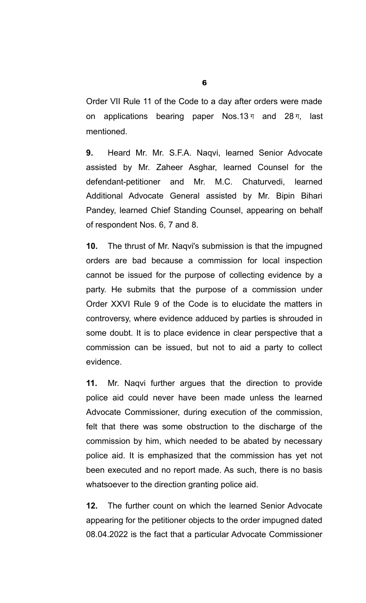Order VII Rule 11 of the Code to a day after orders were made on applications bearing paper Nos.13 $\pi$  and 28 $\pi$ , last mentioned.

**9.** Heard Mr. Mr. S.F.A. Naqvi, learned Senior Advocate assisted by Mr. Zaheer Asghar, learned Counsel for the defendant-petitioner and Mr. M.C. Chaturvedi, learned Additional Advocate General assisted by Mr. Bipin Bihari Pandey, learned Chief Standing Counsel, appearing on behalf of respondent Nos. 6, 7 and 8.

**10.** The thrust of Mr. Naqvi's submission is that the impugned orders are bad because a commission for local inspection cannot be issued for the purpose of collecting evidence by a party. He submits that the purpose of a commission under Order XXVI Rule 9 of the Code is to elucidate the matters in controversy, where evidence adduced by parties is shrouded in some doubt. It is to place evidence in clear perspective that a commission can be issued, but not to aid a party to collect evidence.

**11.** Mr. Naqvi further argues that the direction to provide police aid could never have been made unless the learned Advocate Commissioner, during execution of the commission, felt that there was some obstruction to the discharge of the commission by him, which needed to be abated by necessary police aid. It is emphasized that the commission has yet not been executed and no report made. As such, there is no basis whatsoever to the direction granting police aid.

**12.** The further count on which the learned Senior Advocate appearing for the petitioner objects to the order impugned dated 08.04.2022 is the fact that a particular Advocate Commissioner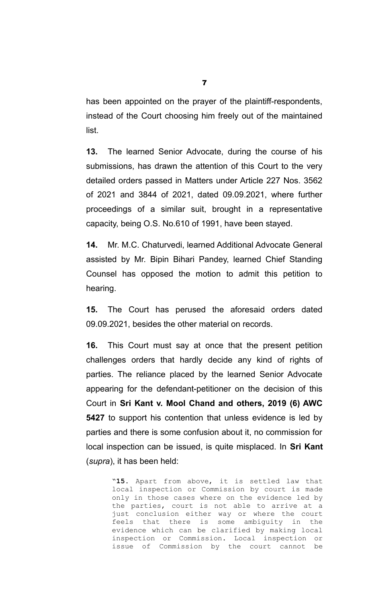has been appointed on the prayer of the plaintiff-respondents, instead of the Court choosing him freely out of the maintained list.

**13.** The learned Senior Advocate, during the course of his submissions, has drawn the attention of this Court to the very detailed orders passed in Matters under Article 227 Nos. 3562 of 2021 and 3844 of 2021, dated 09.09.2021, where further proceedings of a similar suit, brought in a representative capacity, being O.S. No.610 of 1991, have been stayed.

**14.** Mr. M.C. Chaturvedi, learned Additional Advocate General assisted by Mr. Bipin Bihari Pandey, learned Chief Standing Counsel has opposed the motion to admit this petition to hearing.

**15.** The Court has perused the aforesaid orders dated 09.09.2021, besides the other material on records.

**16.** This Court must say at once that the present petition challenges orders that hardly decide any kind of rights of parties. The reliance placed by the learned Senior Advocate appearing for the defendant-petitioner on the decision of this Court in **Sri Kant v. Mool Chand and others, 2019 (6) AWC 5427** to support his contention that unless evidence is led by parties and there is some confusion about it, no commission for local inspection can be issued, is quite misplaced. In **Sri Kant** (*supra*), it has been held:

> "**15.** Apart from above, it is settled law that local inspection or Commission by court is made only in those cases where on the evidence led by the parties, court is not able to arrive at a just conclusion either way or where the court feels that there is some ambiguity in the evidence which can be clarified by making local inspection or Commission. Local inspection or issue of Commission by the court cannot be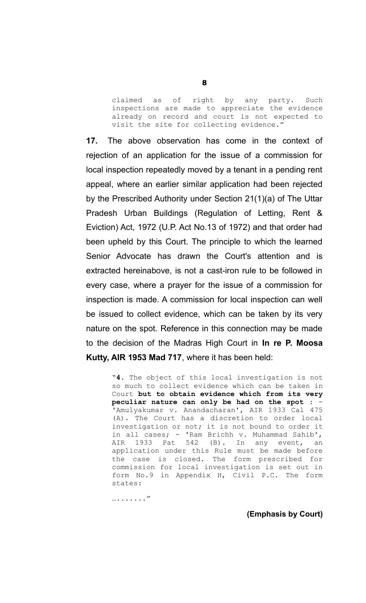claimed as of right by any party. Such inspections are made to appreciate the evidence already on record and court is not expected to visit the site for collecting evidence."

**17.** The above observation has come in the context of rejection of an application for the issue of a commission for local inspection repeatedly moved by a tenant in a pending rent appeal, where an earlier similar application had been rejected by the Prescribed Authority under Section 21(1)(a) of The Uttar Pradesh Urban Buildings (Regulation of Letting, Rent & Eviction) Act, 1972 (U.P. Act No.13 of 1972) and that order had been upheld by this Court. The principle to which the learned Senior Advocate has drawn the Court's attention and is extracted hereinabove, is not a cast-iron rule to be followed in every case, where a prayer for the issue of a commission for inspection is made. A commission for local inspection can well be issued to collect evidence, which can be taken by its very nature on the spot. Reference in this connection may be made to the decision of the Madras High Court in **In re P. Moosa Kutty, AIR 1953 Mad 717**, where it has been held:

> "**4.** The object of this local investigation is not so much to collect evidence which can be taken in Court **but to obtain evidence which from its very** peculiar nature can only be had on the spot : 'Amulyakumar v. Anandacharan', AIR 1933 Cal 475 (A). The Court has a discretion to order local investigation or not; it is not bound to order it in all cases; - 'Ram Brichh v. Muhammad Sahib', AIR 1933 Pat 542 (B). In any event, an application under this Rule must be made before the case is closed. The form prescribed for commission for local investigation is set out in form No.9 in Appendix H, Civil P.C. The form states:

…......."

**(Emphasis by Court)**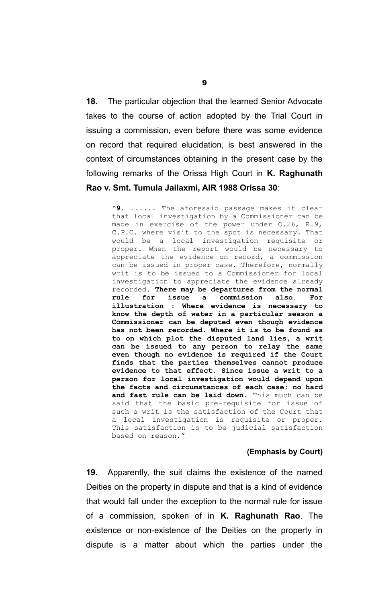**18.** The particular objection that the learned Senior Advocate takes to the course of action adopted by the Trial Court in issuing a commission, even before there was some evidence on record that required elucidation, is best answered in the context of circumstances obtaining in the present case by the following remarks of the Orissa High Court in **K. Raghunath Rao v. Smt. Tumula Jailaxmi, AIR 1988 Orissa 30**:

> "**9.** …..... The aforesaid passage makes it clear that local investigation by a Commissioner can be made in exercise of the power under O.26, R.9, C.P.C. where visit to the spot is necessary. That would be a local investigation requisite or proper. When the report would be necessary to appreciate the evidence on record, a commission can be issued in proper case. Therefore, normally writ is to be issued to a Commissioner for local investigation to appreciate the evidence already recorded. **There may be departures from the normal rule for issue a commission also. For illustration : Where evidence is necessary to know the depth of water in a particular season a Commissioner can be deputed even though evidence has not been recorded. Where it is to be found as to on which plot the disputed land lies, a writ can be issued to any person to relay the same even though no evidence is required if the Court finds that the parties themselves cannot produce evidence to that effect. Since issue a writ to a person for local investigation would depend upon the facts and circumstances of each case; no hard and fast rule can be laid down.** This much can be said that the basic pre-requisite for issue of such a writ is the satisfaction of the Court that a local investigation is requisite or proper. This satisfaction is to be judicial satisfaction based on reason."

## **(Emphasis by Court)**

**19.** Apparently, the suit claims the existence of the named Deities on the property in dispute and that is a kind of evidence that would fall under the exception to the normal rule for issue of a commission, spoken of in **K. Raghunath Rao**. The existence or non-existence of the Deities on the property in dispute is a matter about which the parties under the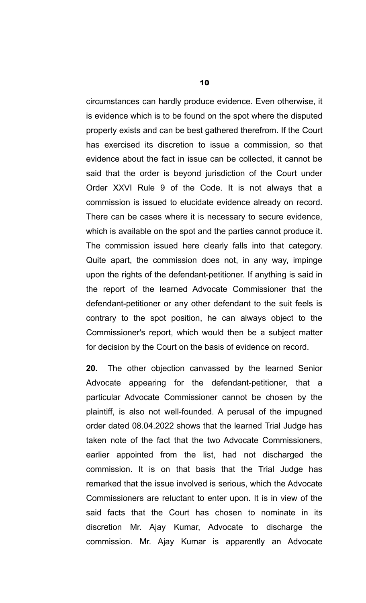circumstances can hardly produce evidence. Even otherwise, it is evidence which is to be found on the spot where the disputed property exists and can be best gathered therefrom. If the Court has exercised its discretion to issue a commission, so that evidence about the fact in issue can be collected, it cannot be said that the order is beyond jurisdiction of the Court under Order XXVI Rule 9 of the Code. It is not always that a commission is issued to elucidate evidence already on record. There can be cases where it is necessary to secure evidence, which is available on the spot and the parties cannot produce it. The commission issued here clearly falls into that category. Quite apart, the commission does not, in any way, impinge upon the rights of the defendant-petitioner. If anything is said in the report of the learned Advocate Commissioner that the defendant-petitioner or any other defendant to the suit feels is contrary to the spot position, he can always object to the Commissioner's report, which would then be a subject matter for decision by the Court on the basis of evidence on record.

**20.** The other objection canvassed by the learned Senior Advocate appearing for the defendant-petitioner, that a particular Advocate Commissioner cannot be chosen by the plaintiff, is also not well-founded. A perusal of the impugned order dated 08.04.2022 shows that the learned Trial Judge has taken note of the fact that the two Advocate Commissioners, earlier appointed from the list, had not discharged the commission. It is on that basis that the Trial Judge has remarked that the issue involved is serious, which the Advocate Commissioners are reluctant to enter upon. It is in view of the said facts that the Court has chosen to nominate in its discretion Mr. Ajay Kumar, Advocate to discharge the commission. Mr. Ajay Kumar is apparently an Advocate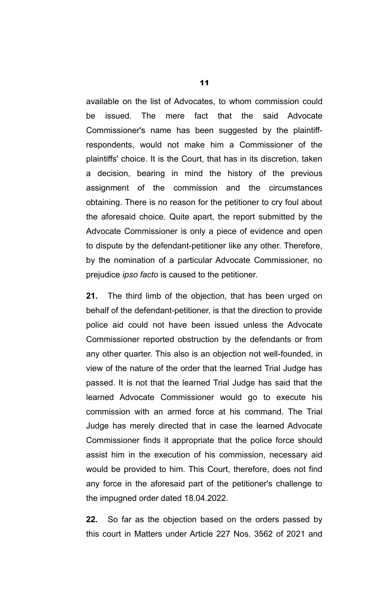available on the list of Advocates, to whom commission could be issued. The mere fact that the said Advocate Commissioner's name has been suggested by the plaintiffrespondents, would not make him a Commissioner of the plaintiffs' choice. It is the Court, that has in its discretion, taken a decision, bearing in mind the history of the previous assignment of the commission and the circumstances obtaining. There is no reason for the petitioner to cry foul about the aforesaid choice. Quite apart, the report submitted by the Advocate Commissioner is only a piece of evidence and open to dispute by the defendant-petitioner like any other. Therefore, by the nomination of a particular Advocate Commissioner, no prejudice *ipso facto* is caused to the petitioner.

**21.** The third limb of the objection, that has been urged on behalf of the defendant-petitioner, is that the direction to provide police aid could not have been issued unless the Advocate Commissioner reported obstruction by the defendants or from any other quarter. This also is an objection not well-founded, in view of the nature of the order that the learned Trial Judge has passed. It is not that the learned Trial Judge has said that the learned Advocate Commissioner would go to execute his commission with an armed force at his command. The Trial Judge has merely directed that in case the learned Advocate Commissioner finds it appropriate that the police force should assist him in the execution of his commission, necessary aid would be provided to him. This Court, therefore, does not find any force in the aforesaid part of the petitioner's challenge to the impugned order dated 18.04.2022.

**22.** So far as the objection based on the orders passed by this court in Matters under Article 227 Nos. 3562 of 2021 and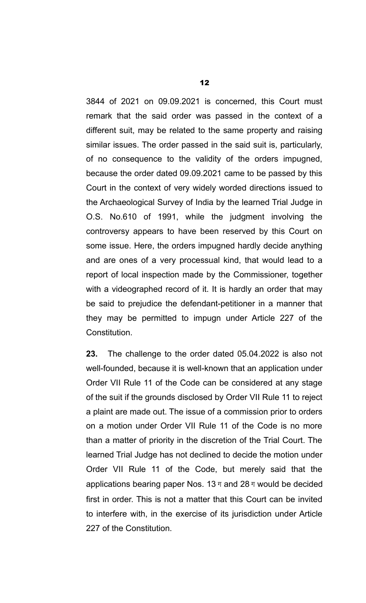3844 of 2021 on 09.09.2021 is concerned, this Court must remark that the said order was passed in the context of a different suit, may be related to the same property and raising similar issues. The order passed in the said suit is, particularly, of no consequence to the validity of the orders impugned, because the order dated 09.09.2021 came to be passed by this Court in the context of very widely worded directions issued to the Archaeological Survey of India by the learned Trial Judge in O.S. No.610 of 1991, while the judgment involving the controversy appears to have been reserved by this Court on some issue. Here, the orders impugned hardly decide anything and are ones of a very processual kind, that would lead to a report of local inspection made by the Commissioner, together with a videographed record of it. It is hardly an order that may be said to prejudice the defendant-petitioner in a manner that they may be permitted to impugn under Article 227 of the Constitution.

**23.** The challenge to the order dated 05.04.2022 is also not well-founded, because it is well-known that an application under Order VII Rule 11 of the Code can be considered at any stage of the suit if the grounds disclosed by Order VII Rule 11 to reject a plaint are made out. The issue of a commission prior to orders on a motion under Order VII Rule 11 of the Code is no more than a matter of priority in the discretion of the Trial Court. The learned Trial Judge has not declined to decide the motion under Order VII Rule 11 of the Code, but merely said that the applications bearing paper Nos. 13 $\pi$  and 28 $\pi$  would be decided first in order. This is not a matter that this Court can be invited to interfere with, in the exercise of its jurisdiction under Article 227 of the Constitution.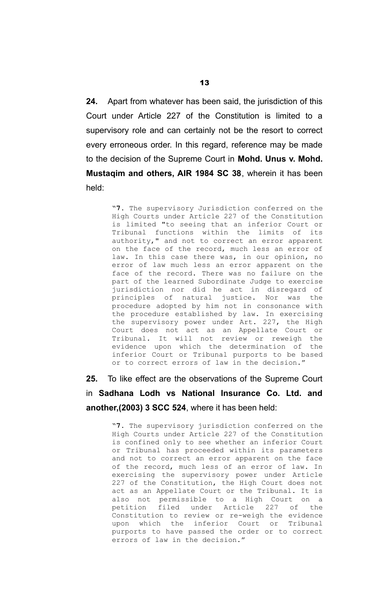**24.** Apart from whatever has been said, the jurisdiction of this Court under Article 227 of the Constitution is limited to a supervisory role and can certainly not be the resort to correct every erroneous order. In this regard, reference may be made to the decision of the Supreme Court in **Mohd. Unus v. Mohd. Mustaqim and others, AIR 1984 SC 38**, wherein it has been held:

> "**7.** The supervisory Jurisdiction conferred on the High Courts under Article 227 of the Constitution is limited "to seeing that an inferior Court or Tribunal functions within the limits of its authority," and not to correct an error apparent on the face of the record, much less an error of law. In this case there was, in our opinion, no error of law much less an error apparent on the face of the record. There was no failure on the part of the learned Subordinate Judge to exercise jurisdiction nor did he act in disregard of principles of natural justice. Nor was the procedure adopted by him not in consonance with the procedure established by law. In exercising the supervisory power under Art. 227, the High Court does not act as an Appellate Court or Tribunal. It will not review or reweigh the evidence upon which the determination of the inferior Court or Tribunal purports to be based or to correct errors of law in the decision."

**25.** To like effect are the observations of the Supreme Court in **Sadhana Lodh vs National Insurance Co. Ltd. and another,(2003) 3 SCC 524**, where it has been held:

> "**7.** The supervisory jurisdiction conferred on the High Courts under Article 227 of the Constitution is confined only to see whether an inferior Court or Tribunal has proceeded within its parameters and not to correct an error apparent on the face of the record, much less of an error of law. In exercising the supervisory power under Article 227 of the Constitution, the High Court does not act as an Appellate Court or the Tribunal. It is also not permissible to a High Court on a petition filed under Article 227 of the Constitution to review or re-weigh the evidence upon which the inferior Court or Tribunal purports to have passed the order or to correct errors of law in the decision."